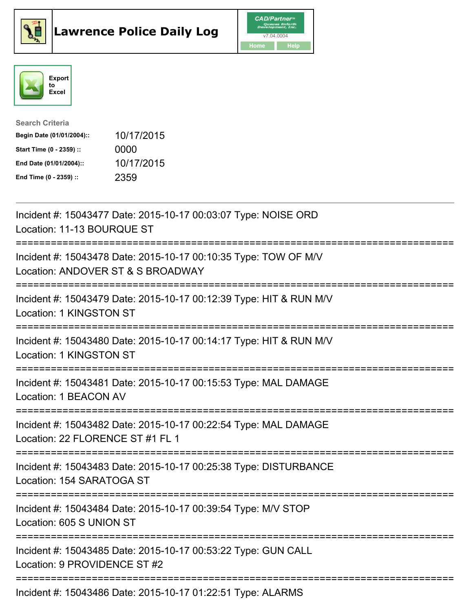





| <b>Search Criteria</b>    |            |
|---------------------------|------------|
| Begin Date (01/01/2004):: | 10/17/2015 |
| Start Time (0 - 2359) ::  | 0000       |
| End Date (01/01/2004)::   | 10/17/2015 |
| End Time (0 - 2359) ::    | 2359       |

| Incident #: 15043477 Date: 2015-10-17 00:03:07 Type: NOISE ORD<br>Location: 11-13 BOURQUE ST                                                                                |
|-----------------------------------------------------------------------------------------------------------------------------------------------------------------------------|
| Incident #: 15043478 Date: 2015-10-17 00:10:35 Type: TOW OF M/V<br>Location: ANDOVER ST & S BROADWAY                                                                        |
| Incident #: 15043479 Date: 2015-10-17 00:12:39 Type: HIT & RUN M/V<br>Location: 1 KINGSTON ST                                                                               |
| Incident #: 15043480 Date: 2015-10-17 00:14:17 Type: HIT & RUN M/V<br>Location: 1 KINGSTON ST<br>------------------                                                         |
| Incident #: 15043481 Date: 2015-10-17 00:15:53 Type: MAL DAMAGE<br>Location: 1 BEACON AV                                                                                    |
| Incident #: 15043482 Date: 2015-10-17 00:22:54 Type: MAL DAMAGE<br>Location: 22 FLORENCE ST #1 FL 1<br>==========================<br>====================================== |
| Incident #: 15043483 Date: 2015-10-17 00:25:38 Type: DISTURBANCE<br>Location: 154 SARATOGA ST                                                                               |
| Incident #: 15043484 Date: 2015-10-17 00:39:54 Type: M/V STOP<br>Location: 605 S UNION ST                                                                                   |
| Incident #: 15043485 Date: 2015-10-17 00:53:22 Type: GUN CALL<br>Location: 9 PROVIDENCE ST #2                                                                               |
| Incident #: 15043486 Date: 2015-10-17 01:22:51 Type: ALARMS                                                                                                                 |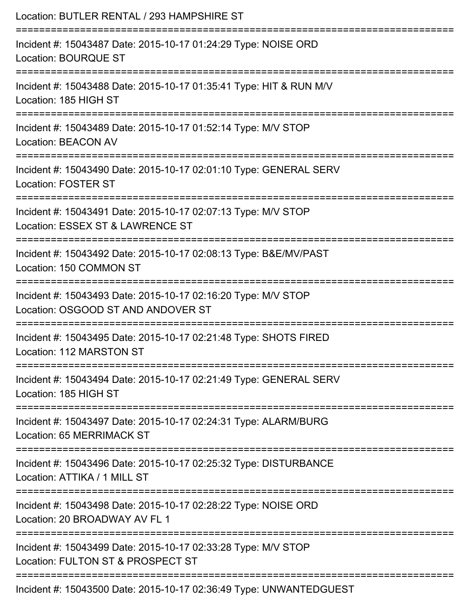| Location: BUTLER RENTAL / 293 HAMPSHIRE ST                                                          |
|-----------------------------------------------------------------------------------------------------|
| Incident #: 15043487 Date: 2015-10-17 01:24:29 Type: NOISE ORD<br><b>Location: BOURQUE ST</b>       |
| Incident #: 15043488 Date: 2015-10-17 01:35:41 Type: HIT & RUN M/V<br>Location: 185 HIGH ST         |
| Incident #: 15043489 Date: 2015-10-17 01:52:14 Type: M/V STOP<br><b>Location: BEACON AV</b>         |
| Incident #: 15043490 Date: 2015-10-17 02:01:10 Type: GENERAL SERV<br><b>Location: FOSTER ST</b>     |
| Incident #: 15043491 Date: 2015-10-17 02:07:13 Type: M/V STOP<br>Location: ESSEX ST & LAWRENCE ST   |
| Incident #: 15043492 Date: 2015-10-17 02:08:13 Type: B&E/MV/PAST<br>Location: 150 COMMON ST         |
| Incident #: 15043493 Date: 2015-10-17 02:16:20 Type: M/V STOP<br>Location: OSGOOD ST AND ANDOVER ST |
| Incident #: 15043495 Date: 2015-10-17 02:21:48 Type: SHOTS FIRED<br>Location: 112 MARSTON ST        |
| Incident #: 15043494 Date: 2015-10-17 02:21:49 Type: GENERAL SERV<br>Location: 185 HIGH ST          |
| Incident #: 15043497 Date: 2015-10-17 02:24:31 Type: ALARM/BURG<br>Location: 65 MERRIMACK ST        |
| Incident #: 15043496 Date: 2015-10-17 02:25:32 Type: DISTURBANCE<br>Location: ATTIKA / 1 MILL ST    |
| Incident #: 15043498 Date: 2015-10-17 02:28:22 Type: NOISE ORD<br>Location: 20 BROADWAY AV FL 1     |
| Incident #: 15043499 Date: 2015-10-17 02:33:28 Type: M/V STOP<br>Location: FULTON ST & PROSPECT ST  |
| Incident #: 15043500 Date: 2015-10-17 02:36:49 Type: UNWANTEDGUEST                                  |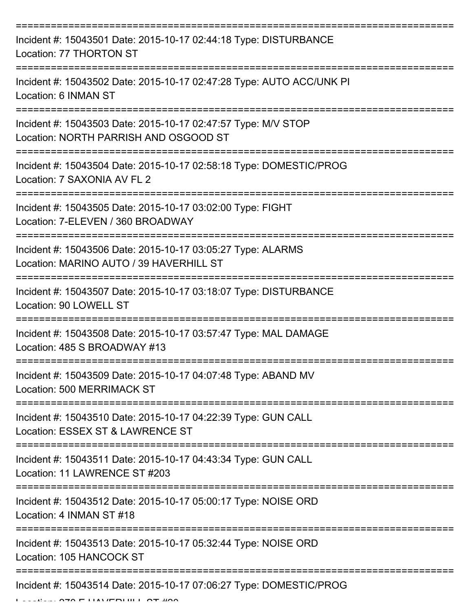| Incident #: 15043501 Date: 2015-10-17 02:44:18 Type: DISTURBANCE<br>Location: 77 THORTON ST            |
|--------------------------------------------------------------------------------------------------------|
| Incident #: 15043502 Date: 2015-10-17 02:47:28 Type: AUTO ACC/UNK PI<br>Location: 6 INMAN ST           |
| Incident #: 15043503 Date: 2015-10-17 02:47:57 Type: M/V STOP<br>Location: NORTH PARRISH AND OSGOOD ST |
| Incident #: 15043504 Date: 2015-10-17 02:58:18 Type: DOMESTIC/PROG<br>Location: 7 SAXONIA AV FL 2      |
| Incident #: 15043505 Date: 2015-10-17 03:02:00 Type: FIGHT<br>Location: 7-ELEVEN / 360 BROADWAY        |
| Incident #: 15043506 Date: 2015-10-17 03:05:27 Type: ALARMS<br>Location: MARINO AUTO / 39 HAVERHILL ST |
| Incident #: 15043507 Date: 2015-10-17 03:18:07 Type: DISTURBANCE<br>Location: 90 LOWELL ST             |
| Incident #: 15043508 Date: 2015-10-17 03:57:47 Type: MAL DAMAGE<br>Location: 485 S BROADWAY #13        |
| Incident #: 15043509 Date: 2015-10-17 04:07:48 Type: ABAND MV<br>Location: 500 MERRIMACK ST            |
| Incident #: 15043510 Date: 2015-10-17 04:22:39 Type: GUN CALL<br>Location: ESSEX ST & LAWRENCE ST      |
| Incident #: 15043511 Date: 2015-10-17 04:43:34 Type: GUN CALL<br>Location: 11 LAWRENCE ST #203         |
| Incident #: 15043512 Date: 2015-10-17 05:00:17 Type: NOISE ORD<br>Location: 4 INMAN ST #18             |
| Incident #: 15043513 Date: 2015-10-17 05:32:44 Type: NOISE ORD<br>Location: 105 HANCOCK ST             |
| Incident #: 15043514 Date: 2015-10-17 07:06:27 Type: DOMESTIC/PROG                                     |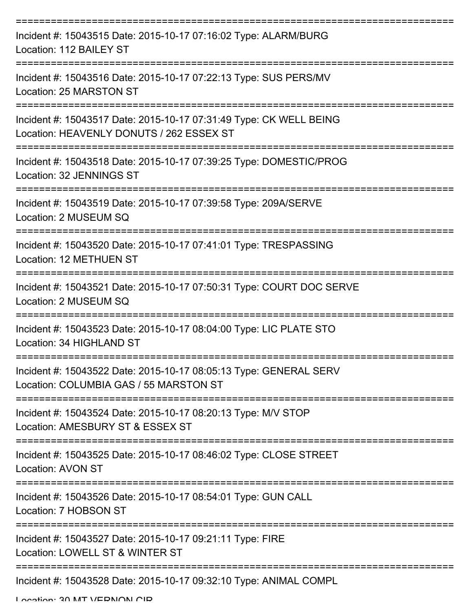| Incident #: 15043515 Date: 2015-10-17 07:16:02 Type: ALARM/BURG<br>Location: 112 BAILEY ST                     |
|----------------------------------------------------------------------------------------------------------------|
| Incident #: 15043516 Date: 2015-10-17 07:22:13 Type: SUS PERS/MV<br>Location: 25 MARSTON ST                    |
| Incident #: 15043517 Date: 2015-10-17 07:31:49 Type: CK WELL BEING<br>Location: HEAVENLY DONUTS / 262 ESSEX ST |
| Incident #: 15043518 Date: 2015-10-17 07:39:25 Type: DOMESTIC/PROG<br>Location: 32 JENNINGS ST                 |
| Incident #: 15043519 Date: 2015-10-17 07:39:58 Type: 209A/SERVE<br>Location: 2 MUSEUM SQ                       |
| Incident #: 15043520 Date: 2015-10-17 07:41:01 Type: TRESPASSING<br>Location: 12 METHUEN ST                    |
| Incident #: 15043521 Date: 2015-10-17 07:50:31 Type: COURT DOC SERVE<br>Location: 2 MUSEUM SQ                  |
| Incident #: 15043523 Date: 2015-10-17 08:04:00 Type: LIC PLATE STO<br>Location: 34 HIGHLAND ST                 |
| Incident #: 15043522 Date: 2015-10-17 08:05:13 Type: GENERAL SERV<br>Location: COLUMBIA GAS / 55 MARSTON ST    |
| Incident #: 15043524 Date: 2015-10-17 08:20:13 Type: M/V STOP<br>Location: AMESBURY ST & ESSEX ST              |
| Incident #: 15043525 Date: 2015-10-17 08:46:02 Type: CLOSE STREET<br>Location: AVON ST                         |
| Incident #: 15043526 Date: 2015-10-17 08:54:01 Type: GUN CALL<br>Location: 7 HOBSON ST                         |
| Incident #: 15043527 Date: 2015-10-17 09:21:11 Type: FIRE<br>Location: LOWELL ST & WINTER ST                   |
| Incident #: 15043528 Date: 2015-10-17 09:32:10 Type: ANIMAL COMPL                                              |

Location: 30 MT VEDNON CID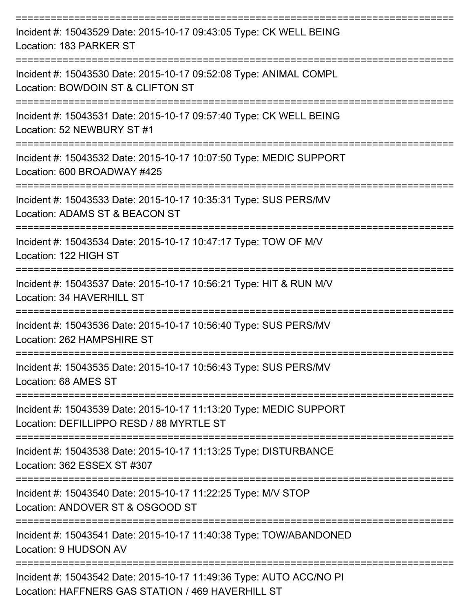| Incident #: 15043529 Date: 2015-10-17 09:43:05 Type: CK WELL BEING<br>Location: 183 PARKER ST                            |
|--------------------------------------------------------------------------------------------------------------------------|
| Incident #: 15043530 Date: 2015-10-17 09:52:08 Type: ANIMAL COMPL<br>Location: BOWDOIN ST & CLIFTON ST                   |
| Incident #: 15043531 Date: 2015-10-17 09:57:40 Type: CK WELL BEING<br>Location: 52 NEWBURY ST #1                         |
| Incident #: 15043532 Date: 2015-10-17 10:07:50 Type: MEDIC SUPPORT<br>Location: 600 BROADWAY #425                        |
| Incident #: 15043533 Date: 2015-10-17 10:35:31 Type: SUS PERS/MV<br>Location: ADAMS ST & BEACON ST                       |
| Incident #: 15043534 Date: 2015-10-17 10:47:17 Type: TOW OF M/V<br>Location: 122 HIGH ST                                 |
| Incident #: 15043537 Date: 2015-10-17 10:56:21 Type: HIT & RUN M/V<br>Location: 34 HAVERHILL ST                          |
| Incident #: 15043536 Date: 2015-10-17 10:56:40 Type: SUS PERS/MV<br>Location: 262 HAMPSHIRE ST                           |
| Incident #: 15043535 Date: 2015-10-17 10:56:43 Type: SUS PERS/MV<br>Location: 68 AMES ST                                 |
| Incident #: 15043539 Date: 2015-10-17 11:13:20 Type: MEDIC SUPPORT<br>Location: DEFILLIPPO RESD / 88 MYRTLE ST           |
| Incident #: 15043538 Date: 2015-10-17 11:13:25 Type: DISTURBANCE<br>Location: 362 ESSEX ST #307                          |
| Incident #: 15043540 Date: 2015-10-17 11:22:25 Type: M/V STOP<br>Location: ANDOVER ST & OSGOOD ST                        |
| Incident #: 15043541 Date: 2015-10-17 11:40:38 Type: TOW/ABANDONED<br>Location: 9 HUDSON AV                              |
| Incident #: 15043542 Date: 2015-10-17 11:49:36 Type: AUTO ACC/NO PI<br>Location: HAFFNERS GAS STATION / 469 HAVERHILL ST |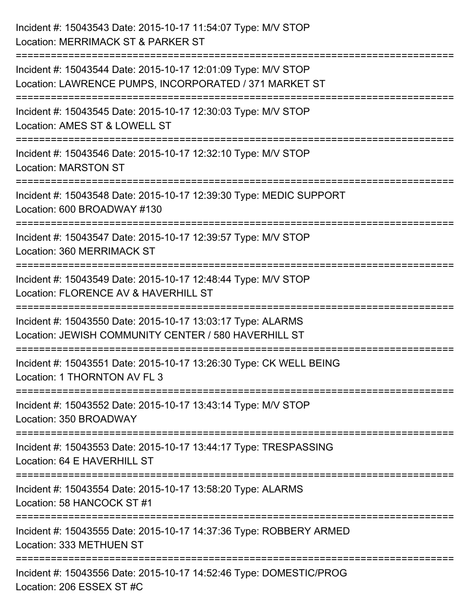| Incident #: 15043543 Date: 2015-10-17 11:54:07 Type: M/V STOP<br>Location: MERRIMACK ST & PARKER ST                                       |
|-------------------------------------------------------------------------------------------------------------------------------------------|
| Incident #: 15043544 Date: 2015-10-17 12:01:09 Type: M/V STOP<br>Location: LAWRENCE PUMPS, INCORPORATED / 371 MARKET ST                   |
| Incident #: 15043545 Date: 2015-10-17 12:30:03 Type: M/V STOP<br>Location: AMES ST & LOWELL ST                                            |
| Incident #: 15043546 Date: 2015-10-17 12:32:10 Type: M/V STOP<br><b>Location: MARSTON ST</b>                                              |
| Incident #: 15043548 Date: 2015-10-17 12:39:30 Type: MEDIC SUPPORT<br>Location: 600 BROADWAY #130<br>==================================== |
| Incident #: 15043547 Date: 2015-10-17 12:39:57 Type: M/V STOP<br>Location: 360 MERRIMACK ST                                               |
| Incident #: 15043549 Date: 2015-10-17 12:48:44 Type: M/V STOP<br>Location: FLORENCE AV & HAVERHILL ST                                     |
| Incident #: 15043550 Date: 2015-10-17 13:03:17 Type: ALARMS<br>Location: JEWISH COMMUNITY CENTER / 580 HAVERHILL ST                       |
| Incident #: 15043551 Date: 2015-10-17 13:26:30 Type: CK WELL BEING<br>Location: 1 THORNTON AV FL 3                                        |
| Incident #: 15043552 Date: 2015-10-17 13:43:14 Type: M/V STOP<br>Location: 350 BROADWAY                                                   |
| Incident #: 15043553 Date: 2015-10-17 13:44:17 Type: TRESPASSING<br>Location: 64 E HAVERHILL ST                                           |
| Incident #: 15043554 Date: 2015-10-17 13:58:20 Type: ALARMS<br>Location: 58 HANCOCK ST #1                                                 |
| Incident #: 15043555 Date: 2015-10-17 14:37:36 Type: ROBBERY ARMED<br>Location: 333 METHUEN ST                                            |
| Incident #: 15043556 Date: 2015-10-17 14:52:46 Type: DOMESTIC/PROG<br>Location: 206 ESSEX ST #C                                           |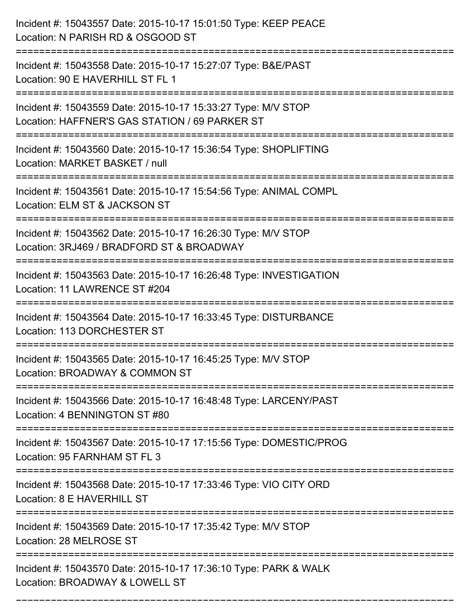| Incident #: 15043557 Date: 2015-10-17 15:01:50 Type: KEEP PEACE<br>Location: N PARISH RD & OSGOOD ST                       |
|----------------------------------------------------------------------------------------------------------------------------|
| Incident #: 15043558 Date: 2015-10-17 15:27:07 Type: B&E/PAST<br>Location: 90 E HAVERHILL ST FL 1                          |
| Incident #: 15043559 Date: 2015-10-17 15:33:27 Type: M/V STOP<br>Location: HAFFNER'S GAS STATION / 69 PARKER ST            |
| Incident #: 15043560 Date: 2015-10-17 15:36:54 Type: SHOPLIFTING<br>Location: MARKET BASKET / null                         |
| Incident #: 15043561 Date: 2015-10-17 15:54:56 Type: ANIMAL COMPL<br>Location: ELM ST & JACKSON ST<br>----------------     |
| Incident #: 15043562 Date: 2015-10-17 16:26:30 Type: M/V STOP<br>Location: 3RJ469 / BRADFORD ST & BROADWAY                 |
| Incident #: 15043563 Date: 2015-10-17 16:26:48 Type: INVESTIGATION<br>Location: 11 LAWRENCE ST #204<br>=================== |
| Incident #: 15043564 Date: 2015-10-17 16:33:45 Type: DISTURBANCE<br>Location: 113 DORCHESTER ST                            |
| Incident #: 15043565 Date: 2015-10-17 16:45:25 Type: M/V STOP<br>Location: BROADWAY & COMMON ST                            |
| Incident #: 15043566 Date: 2015-10-17 16:48:48 Type: LARCENY/PAST<br>Location: 4 BENNINGTON ST #80                         |
| Incident #: 15043567 Date: 2015-10-17 17:15:56 Type: DOMESTIC/PROG<br>Location: 95 FARNHAM ST FL 3                         |
| Incident #: 15043568 Date: 2015-10-17 17:33:46 Type: VIO CITY ORD<br>Location: 8 E HAVERHILL ST                            |
| Incident #: 15043569 Date: 2015-10-17 17:35:42 Type: M/V STOP<br>Location: 28 MELROSE ST                                   |
| Incident #: 15043570 Date: 2015-10-17 17:36:10 Type: PARK & WALK<br>Location: BROADWAY & LOWELL ST                         |

===========================================================================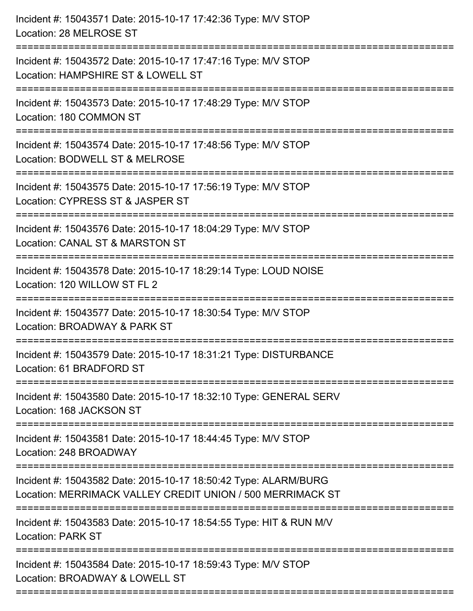| Incident #: 15043571 Date: 2015-10-17 17:42:36 Type: M/V STOP<br>Location: 28 MELROSE ST                                      |
|-------------------------------------------------------------------------------------------------------------------------------|
| Incident #: 15043572 Date: 2015-10-17 17:47:16 Type: M/V STOP<br>Location: HAMPSHIRE ST & LOWELL ST                           |
| Incident #: 15043573 Date: 2015-10-17 17:48:29 Type: M/V STOP<br>Location: 180 COMMON ST                                      |
| Incident #: 15043574 Date: 2015-10-17 17:48:56 Type: M/V STOP<br>Location: BODWELL ST & MELROSE                               |
| Incident #: 15043575 Date: 2015-10-17 17:56:19 Type: M/V STOP<br>Location: CYPRESS ST & JASPER ST                             |
| Incident #: 15043576 Date: 2015-10-17 18:04:29 Type: M/V STOP<br>Location: CANAL ST & MARSTON ST                              |
| Incident #: 15043578 Date: 2015-10-17 18:29:14 Type: LOUD NOISE<br>Location: 120 WILLOW ST FL 2                               |
| Incident #: 15043577 Date: 2015-10-17 18:30:54 Type: M/V STOP<br>Location: BROADWAY & PARK ST                                 |
| Incident #: 15043579 Date: 2015-10-17 18:31:21 Type: DISTURBANCE<br>Location: 61 BRADFORD ST                                  |
| :===============<br>Incident #: 15043580 Date: 2015-10-17 18:32:10 Type: GENERAL SERV<br>Location: 168 JACKSON ST             |
| Incident #: 15043581 Date: 2015-10-17 18:44:45 Type: M/V STOP<br>Location: 248 BROADWAY                                       |
| Incident #: 15043582 Date: 2015-10-17 18:50:42 Type: ALARM/BURG<br>Location: MERRIMACK VALLEY CREDIT UNION / 500 MERRIMACK ST |
| Incident #: 15043583 Date: 2015-10-17 18:54:55 Type: HIT & RUN M/V<br><b>Location: PARK ST</b>                                |
| Incident #: 15043584 Date: 2015-10-17 18:59:43 Type: M/V STOP<br>Location: BROADWAY & LOWELL ST                               |
|                                                                                                                               |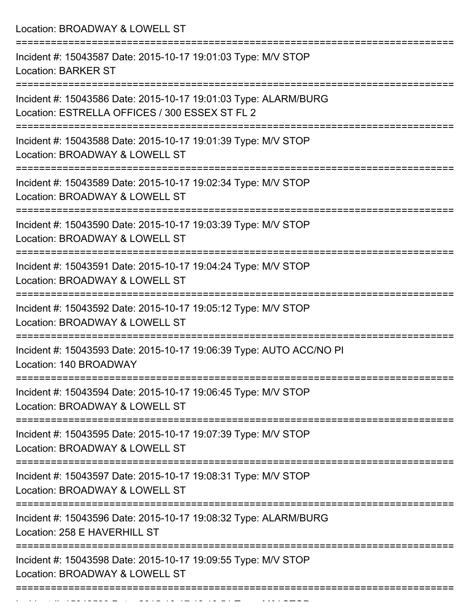Location: BROADWAY & LOWELL ST =========================================================================== Incident #: 15043587 Date: 2015-10-17 19:01:03 Type: M/V STOP Location: BARKER ST =========================================================================== Incident #: 15043586 Date: 2015-10-17 19:01:03 Type: ALARM/BURG Location: ESTRELLA OFFICES / 300 ESSEX ST FL 2 =========================================================================== Incident #: 15043588 Date: 2015-10-17 19:01:39 Type: M/V STOP Location: BROADWAY & LOWELL ST =========================================================================== Incident #: 15043589 Date: 2015-10-17 19:02:34 Type: M/V STOP Location: BROADWAY & LOWELL ST =========================================================================== Incident #: 15043590 Date: 2015-10-17 19:03:39 Type: M/V STOP Location: BROADWAY & LOWELL ST =========================================================================== Incident #: 15043591 Date: 2015-10-17 19:04:24 Type: M/V STOP Location: BROADWAY & LOWELL ST =========================================================================== Incident #: 15043592 Date: 2015-10-17 19:05:12 Type: M/V STOP Location: BROADWAY & LOWELL ST =========================================================================== Incident #: 15043593 Date: 2015-10-17 19:06:39 Type: AUTO ACC/NO PI Location: 140 BROADWAY =========================================================================== Incident #: 15043594 Date: 2015-10-17 19:06:45 Type: M/V STOP Location: BROADWAY & LOWELL ST =========================================================================== Incident #: 15043595 Date: 2015-10-17 19:07:39 Type: M/V STOP Location: BROADWAY & LOWELL ST =========================================================================== Incident #: 15043597 Date: 2015-10-17 19:08:31 Type: M/V STOP Location: BROADWAY & LOWELL ST =========================================================================== Incident #: 15043596 Date: 2015-10-17 19:08:32 Type: ALARM/BURG Location: 258 E HAVERHILL ST =========================================================================== Incident #: 15043598 Date: 2015-10-17 19:09:55 Type: M/V STOP Location: BROADWAY & LOWELL ST ===========================================================================

Incident #: 15043599 Date: 2015 10 1504399 Date: 2014309<br>|-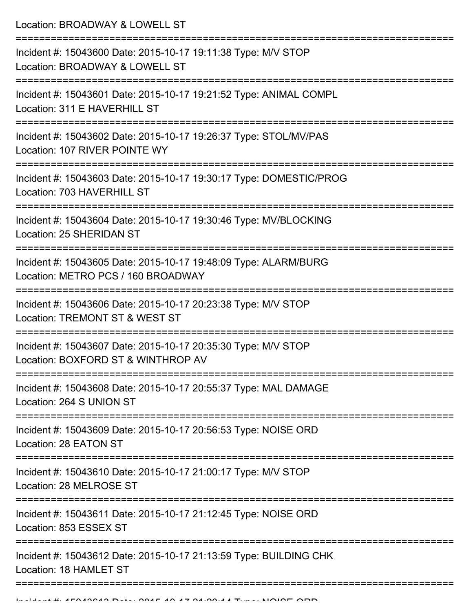Location: BROADWAY & LOWELL ST =========================================================================== Incident #: 15043600 Date: 2015-10-17 19:11:38 Type: M/V STOP Location: BROADWAY & LOWELL ST =========================================================================== Incident #: 15043601 Date: 2015-10-17 19:21:52 Type: ANIMAL COMPL Location: 311 E HAVERHILL ST =========================================================================== Incident #: 15043602 Date: 2015-10-17 19:26:37 Type: STOL/MV/PAS Location: 107 RIVER POINTE WY =========================================================================== Incident #: 15043603 Date: 2015-10-17 19:30:17 Type: DOMESTIC/PROG Location: 703 HAVERHILL ST =========================================================================== Incident #: 15043604 Date: 2015-10-17 19:30:46 Type: MV/BLOCKING Location: 25 SHERIDAN ST =========================================================================== Incident #: 15043605 Date: 2015-10-17 19:48:09 Type: ALARM/BURG Location: METRO PCS / 160 BROADWAY =========================================================================== Incident #: 15043606 Date: 2015-10-17 20:23:38 Type: M/V STOP Location: TREMONT ST & WEST ST =========================================================================== Incident #: 15043607 Date: 2015-10-17 20:35:30 Type: M/V STOP Location: BOXFORD ST & WINTHROP AV =========================================================================== Incident #: 15043608 Date: 2015-10-17 20:55:37 Type: MAL DAMAGE Location: 264 S UNION ST =========================================================================== Incident #: 15043609 Date: 2015-10-17 20:56:53 Type: NOISE ORD Location: 28 EATON ST =========================================================================== Incident #: 15043610 Date: 2015-10-17 21:00:17 Type: M/V STOP Location: 28 MELROSE ST =========================================================================== Incident #: 15043611 Date: 2015-10-17 21:12:45 Type: NOISE ORD Location: 853 ESSEX ST =========================================================================== Incident #: 15043612 Date: 2015-10-17 21:13:59 Type: BUILDING CHK Location: 18 HAMLET ST ===========================================================================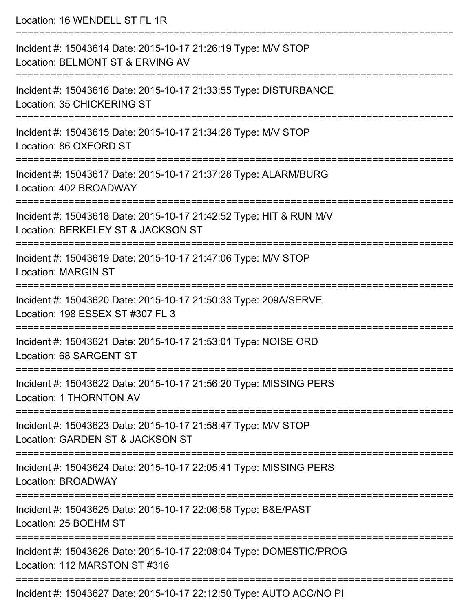| Location: 16 WENDELL ST FL 1R                                                                                                    |
|----------------------------------------------------------------------------------------------------------------------------------|
| Incident #: 15043614 Date: 2015-10-17 21:26:19 Type: M/V STOP<br>Location: BELMONT ST & ERVING AV                                |
| Incident #: 15043616 Date: 2015-10-17 21:33:55 Type: DISTURBANCE<br>Location: 35 CHICKERING ST                                   |
| Incident #: 15043615 Date: 2015-10-17 21:34:28 Type: M/V STOP<br>Location: 86 OXFORD ST<br>=================================     |
| Incident #: 15043617 Date: 2015-10-17 21:37:28 Type: ALARM/BURG<br>Location: 402 BROADWAY                                        |
| Incident #: 15043618 Date: 2015-10-17 21:42:52 Type: HIT & RUN M/V<br>Location: BERKELEY ST & JACKSON ST                         |
| Incident #: 15043619 Date: 2015-10-17 21:47:06 Type: M/V STOP<br><b>Location: MARGIN ST</b>                                      |
| Incident #: 15043620 Date: 2015-10-17 21:50:33 Type: 209A/SERVE<br>Location: 198 ESSEX ST #307 FL 3                              |
| Incident #: 15043621 Date: 2015-10-17 21:53:01 Type: NOISE ORD<br>Location: 68 SARGENT ST                                        |
| :===============================<br>Incident #: 15043622 Date: 2015-10-17 21:56:20 Type: MISSING PERS<br>Location: 1 THORNTON AV |
| Incident #: 15043623 Date: 2015-10-17 21:58:47 Type: M/V STOP<br>Location: GARDEN ST & JACKSON ST                                |
| Incident #: 15043624 Date: 2015-10-17 22:05:41 Type: MISSING PERS<br>Location: BROADWAY                                          |
| =====================<br>Incident #: 15043625 Date: 2015-10-17 22:06:58 Type: B&E/PAST<br>Location: 25 BOEHM ST                  |
| Incident #: 15043626 Date: 2015-10-17 22:08:04 Type: DOMESTIC/PROG<br>Location: 112 MARSTON ST #316                              |
| Incident #: 15043627 Date: 2015-10-17 22:12:50 Type: AUTO ACC/NO PI                                                              |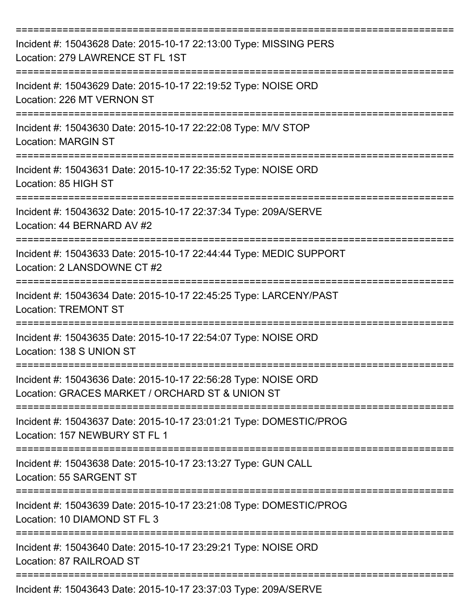| Incident #: 15043628 Date: 2015-10-17 22:13:00 Type: MISSING PERS<br>Location: 279 LAWRENCE ST FL 1ST             |
|-------------------------------------------------------------------------------------------------------------------|
| Incident #: 15043629 Date: 2015-10-17 22:19:52 Type: NOISE ORD<br>Location: 226 MT VERNON ST                      |
| Incident #: 15043630 Date: 2015-10-17 22:22:08 Type: M/V STOP<br><b>Location: MARGIN ST</b>                       |
| Incident #: 15043631 Date: 2015-10-17 22:35:52 Type: NOISE ORD<br>Location: 85 HIGH ST                            |
| Incident #: 15043632 Date: 2015-10-17 22:37:34 Type: 209A/SERVE<br>Location: 44 BERNARD AV #2                     |
| Incident #: 15043633 Date: 2015-10-17 22:44:44 Type: MEDIC SUPPORT<br>Location: 2 LANSDOWNE CT #2                 |
| Incident #: 15043634 Date: 2015-10-17 22:45:25 Type: LARCENY/PAST<br><b>Location: TREMONT ST</b><br>============  |
| Incident #: 15043635 Date: 2015-10-17 22:54:07 Type: NOISE ORD<br>Location: 138 S UNION ST                        |
| Incident #: 15043636 Date: 2015-10-17 22:56:28 Type: NOISE ORD<br>Location: GRACES MARKET / ORCHARD ST & UNION ST |
| Incident #: 15043637 Date: 2015-10-17 23:01:21 Type: DOMESTIC/PROG<br>Location: 157 NEWBURY ST FL 1               |
| Incident #: 15043638 Date: 2015-10-17 23:13:27 Type: GUN CALL<br>Location: 55 SARGENT ST                          |
| Incident #: 15043639 Date: 2015-10-17 23:21:08 Type: DOMESTIC/PROG<br>Location: 10 DIAMOND ST FL 3                |
| Incident #: 15043640 Date: 2015-10-17 23:29:21 Type: NOISE ORD<br>Location: 87 RAILROAD ST                        |
| Incident #: 15043643 Date: 2015-10-17 23:37:03 Type: 209A/SERVE                                                   |